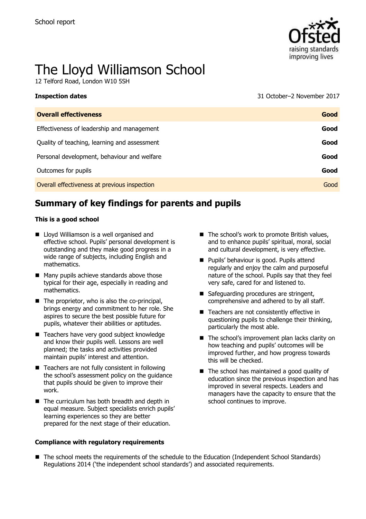**Inspection dates** 



# The Lloyd Williamson School

12 Telford Road, London W10 5SH

| 31 October-2 November 2017 |
|----------------------------|
|                            |

| <b>Overall effectiveness</b>                 | Good |
|----------------------------------------------|------|
| Effectiveness of leadership and management   | Good |
| Quality of teaching, learning and assessment | Good |
| Personal development, behaviour and welfare  | Good |
| Outcomes for pupils                          | Good |
| Overall effectiveness at previous inspection | Good |

# **Summary of key findings for parents and pupils**

#### **This is a good school**

- Lloyd Williamson is a well organised and effective school. Pupils' personal development is outstanding and they make good progress in a wide range of subjects, including English and mathematics.
- Many pupils achieve standards above those typical for their age, especially in reading and mathematics.
- $\blacksquare$  The proprietor, who is also the co-principal, brings energy and commitment to her role. She aspires to secure the best possible future for pupils, whatever their abilities or aptitudes.
- Teachers have very good subject knowledge and know their pupils well. Lessons are well planned; the tasks and activities provided maintain pupils' interest and attention.
- Teachers are not fully consistent in following the school's assessment policy on the guidance that pupils should be given to improve their work.
- $\blacksquare$  The curriculum has both breadth and depth in equal measure. Subject specialists enrich pupils' learning experiences so they are better prepared for the next stage of their education.

#### **Compliance with regulatory requirements**

- $\blacksquare$  The school's work to promote British values, and to enhance pupils' spiritual, moral, social and cultural development, is very effective.
- **Pupils' behaviour is good. Pupils attend** regularly and enjoy the calm and purposeful nature of the school. Pupils say that they feel very safe, cared for and listened to.
- Safeguarding procedures are stringent, comprehensive and adhered to by all staff.
- Teachers are not consistently effective in questioning pupils to challenge their thinking, particularly the most able.
- The school's improvement plan lacks clarity on how teaching and pupils' outcomes will be improved further, and how progress towards this will be checked.
- The school has maintained a good quality of education since the previous inspection and has improved in several respects. Leaders and managers have the capacity to ensure that the school continues to improve.
- The school meets the requirements of the schedule to the Education (Independent School Standards) Regulations 2014 ('the independent school standards') and associated requirements.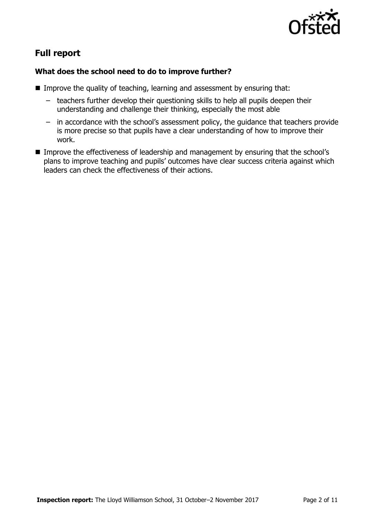

# **Full report**

## **What does the school need to do to improve further?**

- Improve the quality of teaching, learning and assessment by ensuring that:
	- teachers further develop their questioning skills to help all pupils deepen their understanding and challenge their thinking, especially the most able
	- in accordance with the school's assessment policy, the guidance that teachers provide is more precise so that pupils have a clear understanding of how to improve their work.
- Improve the effectiveness of leadership and management by ensuring that the school's plans to improve teaching and pupils' outcomes have clear success criteria against which leaders can check the effectiveness of their actions.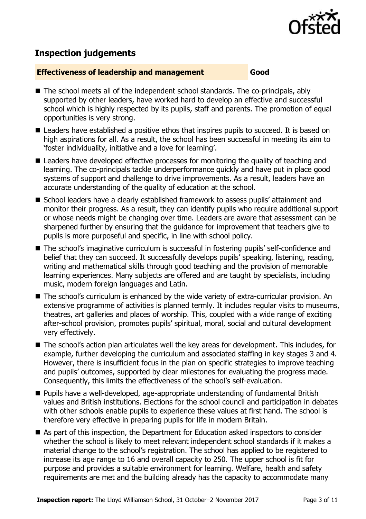

## **Inspection judgements**

#### **Effectiveness of leadership and management Good**

- The school meets all of the independent school standards. The co-principals, ably supported by other leaders, have worked hard to develop an effective and successful school which is highly respected by its pupils, staff and parents. The promotion of equal opportunities is very strong.
- Leaders have established a positive ethos that inspires pupils to succeed. It is based on high aspirations for all. As a result, the school has been successful in meeting its aim to 'foster individuality, initiative and a love for learning'.
- Leaders have developed effective processes for monitoring the quality of teaching and learning. The co-principals tackle underperformance quickly and have put in place good systems of support and challenge to drive improvements. As a result, leaders have an accurate understanding of the quality of education at the school.
- School leaders have a clearly established framework to assess pupils' attainment and monitor their progress. As a result, they can identify pupils who require additional support or whose needs might be changing over time. Leaders are aware that assessment can be sharpened further by ensuring that the guidance for improvement that teachers give to pupils is more purposeful and specific, in line with school policy.
- The school's imaginative curriculum is successful in fostering pupils' self-confidence and belief that they can succeed. It successfully develops pupils' speaking, listening, reading, writing and mathematical skills through good teaching and the provision of memorable learning experiences. Many subjects are offered and are taught by specialists, including music, modern foreign languages and Latin.
- The school's curriculum is enhanced by the wide variety of extra-curricular provision. An extensive programme of activities is planned termly. It includes regular visits to museums, theatres, art galleries and places of worship. This, coupled with a wide range of exciting after-school provision, promotes pupils' spiritual, moral, social and cultural development very effectively.
- The school's action plan articulates well the key areas for development. This includes, for example, further developing the curriculum and associated staffing in key stages 3 and 4. However, there is insufficient focus in the plan on specific strategies to improve teaching and pupils' outcomes, supported by clear milestones for evaluating the progress made. Consequently, this limits the effectiveness of the school's self-evaluation.
- Pupils have a well-developed, age-appropriate understanding of fundamental British values and British institutions. Elections for the school council and participation in debates with other schools enable pupils to experience these values at first hand. The school is therefore very effective in preparing pupils for life in modern Britain.
- As part of this inspection, the Department for Education asked inspectors to consider whether the school is likely to meet relevant independent school standards if it makes a material change to the school's registration. The school has applied to be registered to increase its age range to 16 and overall capacity to 250. The upper school is fit for purpose and provides a suitable environment for learning. Welfare, health and safety requirements are met and the building already has the capacity to accommodate many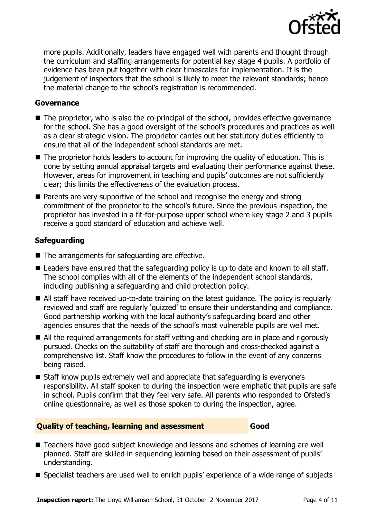

more pupils. Additionally, leaders have engaged well with parents and thought through the curriculum and staffing arrangements for potential key stage 4 pupils. A portfolio of evidence has been put together with clear timescales for implementation. It is the judgement of inspectors that the school is likely to meet the relevant standards; hence the material change to the school's registration is recommended.

#### **Governance**

- The proprietor, who is also the co-principal of the school, provides effective governance for the school. She has a good oversight of the school's procedures and practices as well as a clear strategic vision. The proprietor carries out her statutory duties efficiently to ensure that all of the independent school standards are met.
- The proprietor holds leaders to account for improving the quality of education. This is done by setting annual appraisal targets and evaluating their performance against these. However, areas for improvement in teaching and pupils' outcomes are not sufficiently clear; this limits the effectiveness of the evaluation process.
- **Parents are very supportive of the school and recognise the energy and strong** commitment of the proprietor to the school's future. Since the previous inspection, the proprietor has invested in a fit-for-purpose upper school where key stage 2 and 3 pupils receive a good standard of education and achieve well.

## **Safeguarding**

- $\blacksquare$  The arrangements for safeguarding are effective.
- Leaders have ensured that the safeguarding policy is up to date and known to all staff. The school complies with all of the elements of the independent school standards, including publishing a safeguarding and child protection policy.
- All staff have received up-to-date training on the latest guidance. The policy is regularly reviewed and staff are regularly 'quizzed' to ensure their understanding and compliance. Good partnership working with the local authority's safeguarding board and other agencies ensures that the needs of the school's most vulnerable pupils are well met.
- All the required arrangements for staff vetting and checking are in place and rigorously pursued. Checks on the suitability of staff are thorough and cross-checked against a comprehensive list. Staff know the procedures to follow in the event of any concerns being raised.
- Staff know pupils extremely well and appreciate that safeguarding is everyone's responsibility. All staff spoken to during the inspection were emphatic that pupils are safe in school. Pupils confirm that they feel very safe. All parents who responded to Ofsted's online questionnaire, as well as those spoken to during the inspection, agree.

#### **Quality of teaching, learning and assessment Good**

- Teachers have good subject knowledge and lessons and schemes of learning are well planned. Staff are skilled in sequencing learning based on their assessment of pupils' understanding.
- Specialist teachers are used well to enrich pupils' experience of a wide range of subjects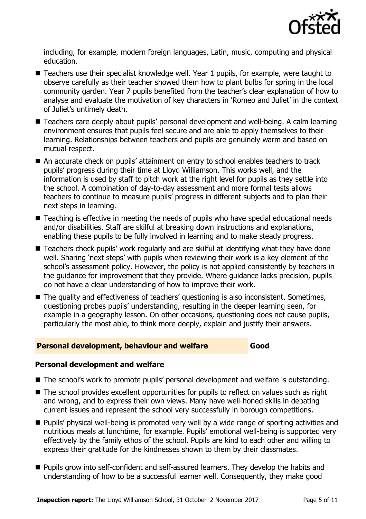

including, for example, modern foreign languages, Latin, music, computing and physical education.

- Teachers use their specialist knowledge well. Year 1 pupils, for example, were taught to observe carefully as their teacher showed them how to plant bulbs for spring in the local community garden. Year 7 pupils benefited from the teacher's clear explanation of how to analyse and evaluate the motivation of key characters in 'Romeo and Juliet' in the context of Juliet's untimely death.
- Teachers care deeply about pupils' personal development and well-being. A calm learning environment ensures that pupils feel secure and are able to apply themselves to their learning. Relationships between teachers and pupils are genuinely warm and based on mutual respect.
- An accurate check on pupils' attainment on entry to school enables teachers to track pupils' progress during their time at Lloyd Williamson. This works well, and the information is used by staff to pitch work at the right level for pupils as they settle into the school. A combination of day-to-day assessment and more formal tests allows teachers to continue to measure pupils' progress in different subjects and to plan their next steps in learning.
- Teaching is effective in meeting the needs of pupils who have special educational needs and/or disabilities. Staff are skilful at breaking down instructions and explanations, enabling these pupils to be fully involved in learning and to make steady progress.
- Teachers check pupils' work regularly and are skilful at identifying what they have done well. Sharing 'next steps' with pupils when reviewing their work is a key element of the school's assessment policy. However, the policy is not applied consistently by teachers in the guidance for improvement that they provide. Where guidance lacks precision, pupils do not have a clear understanding of how to improve their work.
- The quality and effectiveness of teachers' questioning is also inconsistent. Sometimes, questioning probes pupils' understanding, resulting in the deeper learning seen, for example in a geography lesson. On other occasions, questioning does not cause pupils, particularly the most able, to think more deeply, explain and justify their answers.

#### **Personal development, behaviour and welfare Good**

## **Personal development and welfare**

- The school's work to promote pupils' personal development and welfare is outstanding.
- The school provides excellent opportunities for pupils to reflect on values such as right and wrong, and to express their own views. Many have well-honed skills in debating current issues and represent the school very successfully in borough competitions.
- **Pupils'** physical well-being is promoted very well by a wide range of sporting activities and nutritious meals at lunchtime, for example. Pupils' emotional well-being is supported very effectively by the family ethos of the school. Pupils are kind to each other and willing to express their gratitude for the kindnesses shown to them by their classmates.
- **Pupils grow into self-confident and self-assured learners. They develop the habits and** understanding of how to be a successful learner well. Consequently, they make good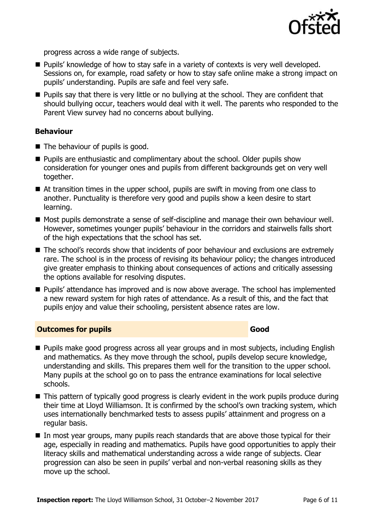

progress across a wide range of subjects.

- Pupils' knowledge of how to stay safe in a variety of contexts is very well developed. Sessions on, for example, road safety or how to stay safe online make a strong impact on pupils' understanding. Pupils are safe and feel very safe.
- **Pupils say that there is very little or no bullying at the school. They are confident that** should bullying occur, teachers would deal with it well. The parents who responded to the Parent View survey had no concerns about bullying.

#### **Behaviour**

- $\blacksquare$  The behaviour of pupils is good.
- **Pupils are enthusiastic and complimentary about the school. Older pupils show** consideration for younger ones and pupils from different backgrounds get on very well together.
- At transition times in the upper school, pupils are swift in moving from one class to another. Punctuality is therefore very good and pupils show a keen desire to start learning.
- Most pupils demonstrate a sense of self-discipline and manage their own behaviour well. However, sometimes younger pupils' behaviour in the corridors and stairwells falls short of the high expectations that the school has set.
- The school's records show that incidents of poor behaviour and exclusions are extremely rare. The school is in the process of revising its behaviour policy; the changes introduced give greater emphasis to thinking about consequences of actions and critically assessing the options available for resolving disputes.
- **Pupils'** attendance has improved and is now above average. The school has implemented a new reward system for high rates of attendance. As a result of this, and the fact that pupils enjoy and value their schooling, persistent absence rates are low.

#### **Outcomes for pupils Good Good**

- **Pupils make good progress across all year groups and in most subjects, including English** and mathematics. As they move through the school, pupils develop secure knowledge, understanding and skills. This prepares them well for the transition to the upper school. Many pupils at the school go on to pass the entrance examinations for local selective schools.
- This pattern of typically good progress is clearly evident in the work pupils produce during their time at Lloyd Williamson. It is confirmed by the school's own tracking system, which uses internationally benchmarked tests to assess pupils' attainment and progress on a regular basis.
- In most year groups, many pupils reach standards that are above those typical for their age, especially in reading and mathematics. Pupils have good opportunities to apply their literacy skills and mathematical understanding across a wide range of subjects. Clear progression can also be seen in pupils' verbal and non-verbal reasoning skills as they move up the school.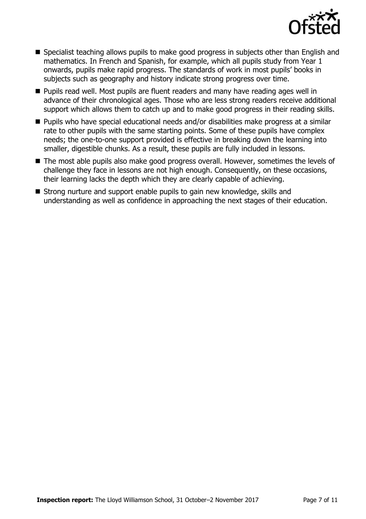

- Specialist teaching allows pupils to make good progress in subjects other than English and mathematics. In French and Spanish, for example, which all pupils study from Year 1 onwards, pupils make rapid progress. The standards of work in most pupils' books in subjects such as geography and history indicate strong progress over time.
- **Pupils read well. Most pupils are fluent readers and many have reading ages well in** advance of their chronological ages. Those who are less strong readers receive additional support which allows them to catch up and to make good progress in their reading skills.
- Pupils who have special educational needs and/or disabilities make progress at a similar rate to other pupils with the same starting points. Some of these pupils have complex needs; the one-to-one support provided is effective in breaking down the learning into smaller, digestible chunks. As a result, these pupils are fully included in lessons.
- The most able pupils also make good progress overall. However, sometimes the levels of challenge they face in lessons are not high enough. Consequently, on these occasions, their learning lacks the depth which they are clearly capable of achieving.
- Strong nurture and support enable pupils to gain new knowledge, skills and understanding as well as confidence in approaching the next stages of their education.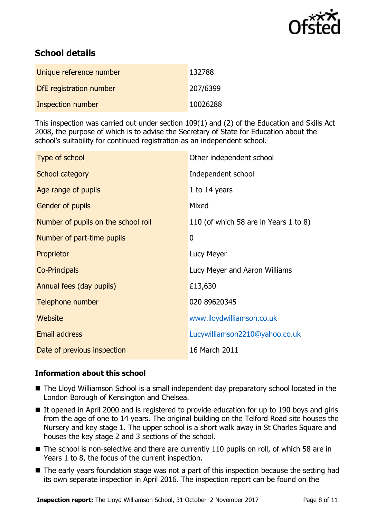

# **School details**

| Unique reference number  | 132788   |
|--------------------------|----------|
| DfE registration number  | 207/6399 |
| <b>Inspection number</b> | 10026288 |

This inspection was carried out under section 109(1) and (2) of the Education and Skills Act 2008, the purpose of which is to advise the Secretary of State for Education about the school's suitability for continued registration as an independent school.

| Type of school                      | Other independent school              |
|-------------------------------------|---------------------------------------|
| <b>School category</b>              | Independent school                    |
| Age range of pupils                 | 1 to $14$ years                       |
| Gender of pupils                    | Mixed                                 |
| Number of pupils on the school roll | 110 (of which 58 are in Years 1 to 8) |
| Number of part-time pupils          | $\boldsymbol{0}$                      |
| Proprietor                          | Lucy Meyer                            |
| <b>Co-Principals</b>                | Lucy Meyer and Aaron Williams         |
| Annual fees (day pupils)            | £13,630                               |
| Telephone number                    | 020 89620345                          |
| Website                             | www.lloydwilliamson.co.uk             |
| Email address                       | Lucywilliamson2210@yahoo.co.uk        |
| Date of previous inspection         | 16 March 2011                         |

## **Information about this school**

- The Lloyd Williamson School is a small independent day preparatory school located in the London Borough of Kensington and Chelsea.
- It opened in April 2000 and is registered to provide education for up to 190 boys and girls from the age of one to 14 years. The original building on the Telford Road site houses the Nursery and key stage 1. The upper school is a short walk away in St Charles Square and houses the key stage 2 and 3 sections of the school.
- The school is non-selective and there are currently 110 pupils on roll, of which 58 are in Years 1 to 8, the focus of the current inspection.
- The early years foundation stage was not a part of this inspection because the setting had its own separate inspection in April 2016. The inspection report can be found on the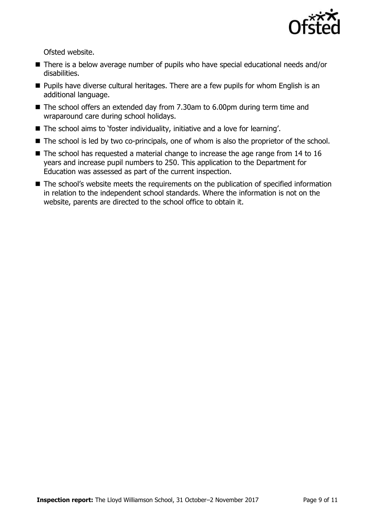

Ofsted website.

- There is a below average number of pupils who have special educational needs and/or disabilities.
- **Pupils have diverse cultural heritages. There are a few pupils for whom English is an** additional language.
- The school offers an extended day from 7.30am to 6.00pm during term time and wraparound care during school holidays.
- The school aims to 'foster individuality, initiative and a love for learning'.
- The school is led by two co-principals, one of whom is also the proprietor of the school.
- $\blacksquare$  The school has requested a material change to increase the age range from 14 to 16 years and increase pupil numbers to 250. This application to the Department for Education was assessed as part of the current inspection.
- The school's website meets the requirements on the publication of specified information in relation to the independent school standards. Where the information is not on the website, parents are directed to the school office to obtain it.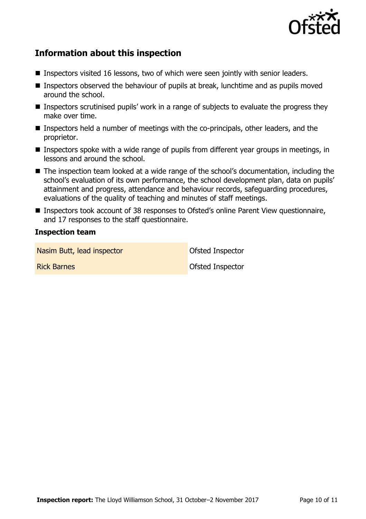

## **Information about this inspection**

- Inspectors visited 16 lessons, two of which were seen jointly with senior leaders.
- Inspectors observed the behaviour of pupils at break, lunchtime and as pupils moved around the school.
- Inspectors scrutinised pupils' work in a range of subjects to evaluate the progress they make over time.
- Inspectors held a number of meetings with the co-principals, other leaders, and the proprietor.
- Inspectors spoke with a wide range of pupils from different year groups in meetings, in lessons and around the school.
- The inspection team looked at a wide range of the school's documentation, including the school's evaluation of its own performance, the school development plan, data on pupils' attainment and progress, attendance and behaviour records, safeguarding procedures, evaluations of the quality of teaching and minutes of staff meetings.
- Inspectors took account of 38 responses to Ofsted's online Parent View questionnaire, and 17 responses to the staff questionnaire.

#### **Inspection team**

Nasim Butt, lead inspector and offsted Inspector

**Rick Barnes Contract Contract Contract Contract Contract Contract Contract Contract Contract Contract Contract Contract Contract Contract Contract Contract Contract Contract Contract Contract Contract Contract Contract**